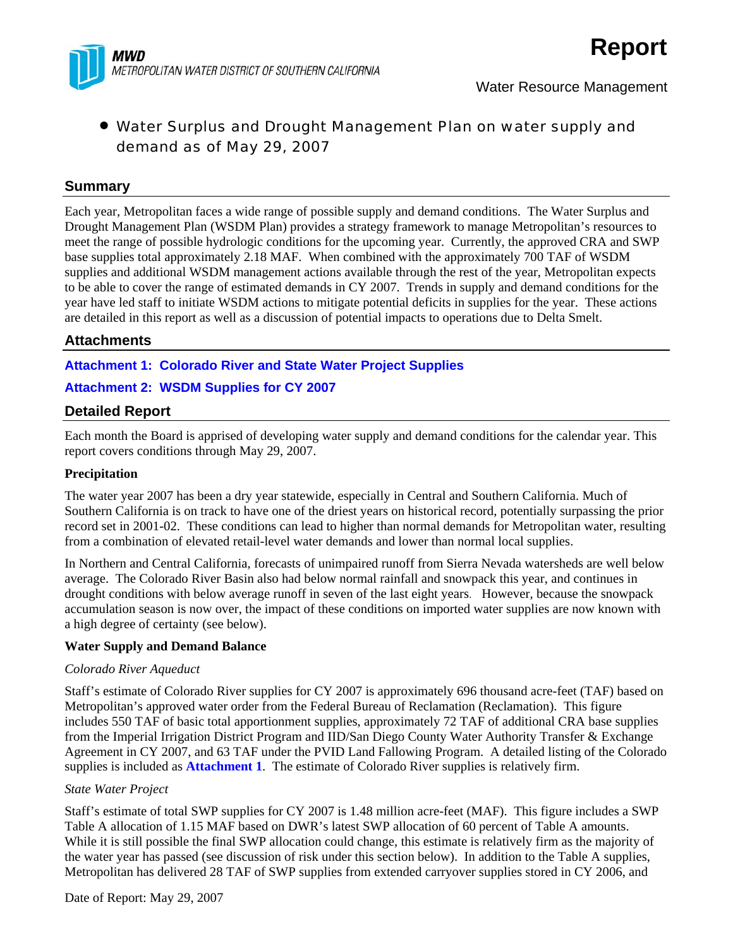

# • Water Surplus and Drought Management Plan on water supply and demand as of May 29, 2007

### **Summary**

Each year, Metropolitan faces a wide range of possible supply and demand conditions. The Water Surplus and Drought Management Plan (WSDM Plan) provides a strategy framework to manage Metropolitan's resources to meet the range of possible hydrologic conditions for the upcoming year. Currently, the approved CRA and SWP base supplies total approximately 2.18 MAF. When combined with the approximately 700 TAF of WSDM supplies and additional WSDM management actions available through the rest of the year, Metropolitan expects to be able to cover the range of estimated demands in CY 2007. Trends in supply and demand conditions for the year have led staff to initiate WSDM actions to mitigate potential deficits in supplies for the year. These actions are detailed in this report as well as a discussion of potential impacts to operations due to Delta Smelt.

## **Attachments**

**Attachment 1: Colorado River and State Water Project Supplies** 

# **Attachment 2: WSDM Supplies for CY 2007**

# **Detailed Report**

Each month the Board is apprised of developing water supply and demand conditions for the calendar year. This report covers conditions through May 29, 2007.

#### **Precipitation**

The water year 2007 has been a dry year statewide, especially in Central and Southern California. Much of Southern California is on track to have one of the driest years on historical record, potentially surpassing the prior record set in 2001-02. These conditions can lead to higher than normal demands for Metropolitan water, resulting from a combination of elevated retail-level water demands and lower than normal local supplies.

In Northern and Central California, forecasts of unimpaired runoff from Sierra Nevada watersheds are well below average. The Colorado River Basin also had below normal rainfall and snowpack this year, and continues in drought conditions with below average runoff in seven of the last eight years. However, because the snowpack accumulation season is now over, the impact of these conditions on imported water supplies are now known with a high degree of certainty (see below).

#### **Water Supply and Demand Balance**

#### *Colorado River Aqueduct*

Staff's estimate of Colorado River supplies for CY 2007 is approximately 696 thousand acre-feet (TAF) based on Metropolitan's approved water order from the Federal Bureau of Reclamation (Reclamation). This figure includes 550 TAF of basic total apportionment supplies, approximately 72 TAF of additional CRA base supplies from the Imperial Irrigation District Program and IID/San Diego County Water Authority Transfer & Exchange Agreement in CY 2007, and 63 TAF under the PVID Land Fallowing Program. A detailed listing of the Colorado supplies is included as **Attachment 1**. The estimate of Colorado River supplies is relatively firm.

#### *State Water Project*

Staff's estimate of total SWP supplies for CY 2007 is 1.48 million acre-feet (MAF). This figure includes a SWP Table A allocation of 1.15 MAF based on DWR's latest SWP allocation of 60 percent of Table A amounts. While it is still possible the final SWP allocation could change, this estimate is relatively firm as the majority of the water year has passed (see discussion of risk under this section below). In addition to the Table A supplies, Metropolitan has delivered 28 TAF of SWP supplies from extended carryover supplies stored in CY 2006, and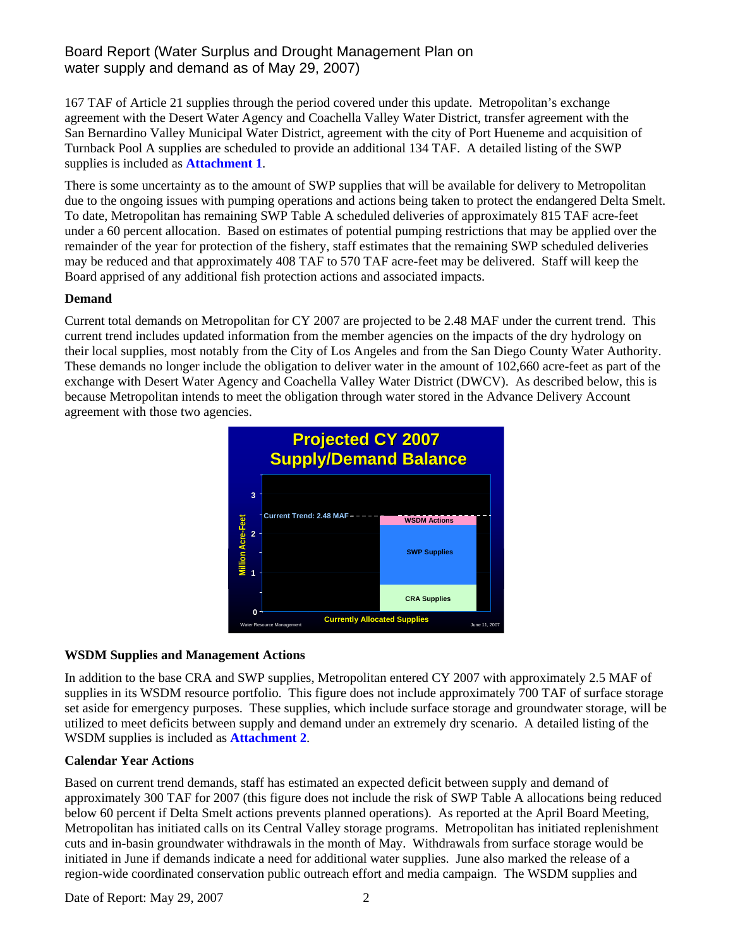# Board Report (Water Surplus and Drought Management Plan on water supply and demand as of May 29, 2007)

167 TAF of Article 21 supplies through the period covered under this update. Metropolitan's exchange agreement with the Desert Water Agency and Coachella Valley Water District, transfer agreement with the San Bernardino Valley Municipal Water District, agreement with the city of Port Hueneme and acquisition of Turnback Pool A supplies are scheduled to provide an additional 134 TAF. A detailed listing of the SWP supplies is included as **Attachment 1**.

There is some uncertainty as to the amount of SWP supplies that will be available for delivery to Metropolitan due to the ongoing issues with pumping operations and actions being taken to protect the endangered Delta Smelt. To date, Metropolitan has remaining SWP Table A scheduled deliveries of approximately 815 TAF acre-feet under a 60 percent allocation. Based on estimates of potential pumping restrictions that may be applied over the remainder of the year for protection of the fishery, staff estimates that the remaining SWP scheduled deliveries may be reduced and that approximately 408 TAF to 570 TAF acre-feet may be delivered. Staff will keep the Board apprised of any additional fish protection actions and associated impacts.

### **Demand**

Current total demands on Metropolitan for CY 2007 are projected to be 2.48 MAF under the current trend. This current trend includes updated information from the member agencies on the impacts of the dry hydrology on their local supplies, most notably from the City of Los Angeles and from the San Diego County Water Authority. These demands no longer include the obligation to deliver water in the amount of 102,660 acre-feet as part of the exchange with Desert Water Agency and Coachella Valley Water District (DWCV). As described below, this is because Metropolitan intends to meet the obligation through water stored in the Advance Delivery Account agreement with those two agencies.



### **WSDM Supplies and Management Actions**

In addition to the base CRA and SWP supplies, Metropolitan entered CY 2007 with approximately 2.5 MAF of supplies in its WSDM resource portfolio. This figure does not include approximately 700 TAF of surface storage set aside for emergency purposes. These supplies, which include surface storage and groundwater storage, will be utilized to meet deficits between supply and demand under an extremely dry scenario. A detailed listing of the WSDM supplies is included as **Attachment 2**.

### **Calendar Year Actions**

Based on current trend demands, staff has estimated an expected deficit between supply and demand of approximately 300 TAF for 2007 (this figure does not include the risk of SWP Table A allocations being reduced below 60 percent if Delta Smelt actions prevents planned operations). As reported at the April Board Meeting, Metropolitan has initiated calls on its Central Valley storage programs. Metropolitan has initiated replenishment cuts and in-basin groundwater withdrawals in the month of May. Withdrawals from surface storage would be initiated in June if demands indicate a need for additional water supplies. June also marked the release of a region-wide coordinated conservation public outreach effort and media campaign. The WSDM supplies and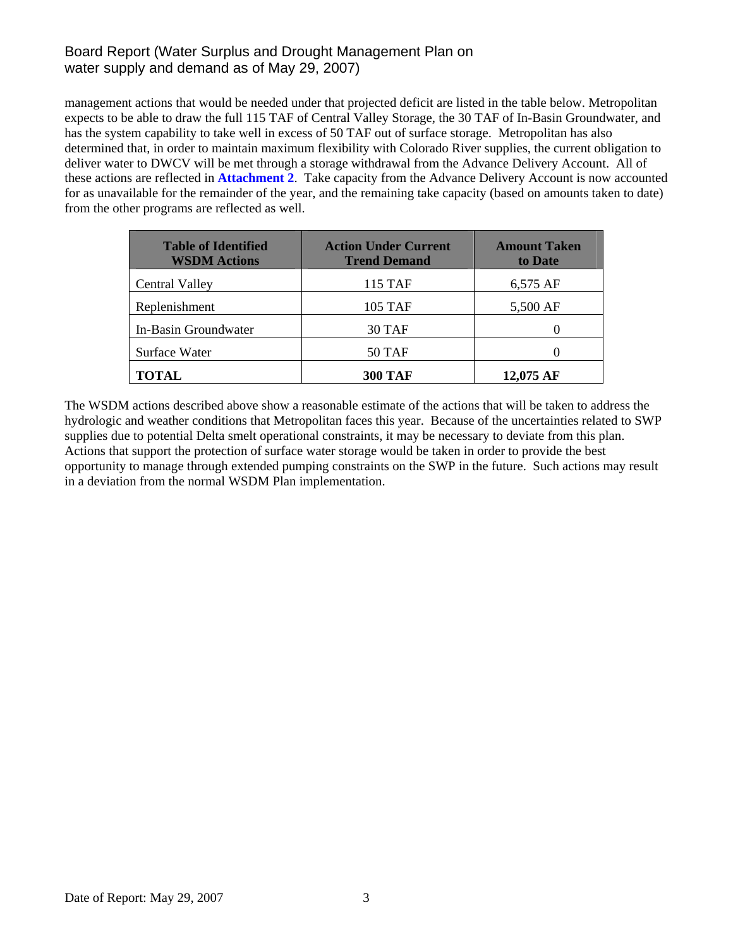# Board Report (Water Surplus and Drought Management Plan on water supply and demand as of May 29, 2007)

management actions that would be needed under that projected deficit are listed in the table below. Metropolitan expects to be able to draw the full 115 TAF of Central Valley Storage, the 30 TAF of In-Basin Groundwater, and has the system capability to take well in excess of 50 TAF out of surface storage. Metropolitan has also determined that, in order to maintain maximum flexibility with Colorado River supplies, the current obligation to deliver water to DWCV will be met through a storage withdrawal from the Advance Delivery Account. All of these actions are reflected in **Attachment 2**. Take capacity from the Advance Delivery Account is now accounted for as unavailable for the remainder of the year, and the remaining take capacity (based on amounts taken to date) from the other programs are reflected as well.

| <b>Table of Identified</b><br><b>WSDM Actions</b> | <b>Action Under Current</b><br><b>Trend Demand</b> | <b>Amount Taken</b><br>to Date |  |
|---------------------------------------------------|----------------------------------------------------|--------------------------------|--|
| <b>Central Valley</b>                             | 115 TAF                                            | 6,575 AF                       |  |
| Replenishment                                     | 105 TAF                                            | 5,500 AF                       |  |
| In-Basin Groundwater                              | 30 TAF                                             |                                |  |
| Surface Water                                     | <b>50 TAF</b>                                      |                                |  |
| <b>TOTAL</b>                                      | <b>300 TAF</b>                                     | 12,075 AF                      |  |

The WSDM actions described above show a reasonable estimate of the actions that will be taken to address the hydrologic and weather conditions that Metropolitan faces this year. Because of the uncertainties related to SWP supplies due to potential Delta smelt operational constraints, it may be necessary to deviate from this plan. Actions that support the protection of surface water storage would be taken in order to provide the best opportunity to manage through extended pumping constraints on the SWP in the future. Such actions may result in a deviation from the normal WSDM Plan implementation.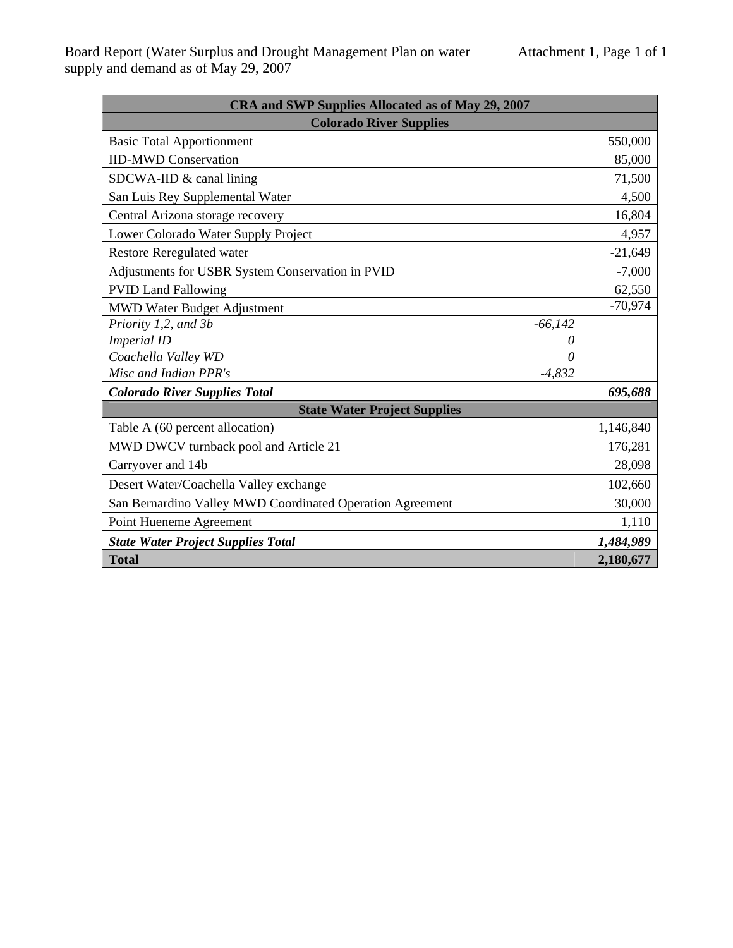| CRA and SWP Supplies Allocated as of May 29, 2007         |           |  |  |  |  |
|-----------------------------------------------------------|-----------|--|--|--|--|
| <b>Colorado River Supplies</b>                            |           |  |  |  |  |
| <b>Basic Total Apportionment</b>                          |           |  |  |  |  |
| <b>IID-MWD Conservation</b>                               |           |  |  |  |  |
| SDCWA-IID $&$ canal lining                                |           |  |  |  |  |
| San Luis Rey Supplemental Water                           |           |  |  |  |  |
| Central Arizona storage recovery                          |           |  |  |  |  |
| Lower Colorado Water Supply Project                       |           |  |  |  |  |
| <b>Restore Reregulated water</b>                          |           |  |  |  |  |
| Adjustments for USBR System Conservation in PVID          |           |  |  |  |  |
| <b>PVID Land Fallowing</b>                                | 62,550    |  |  |  |  |
| <b>MWD Water Budget Adjustment</b>                        |           |  |  |  |  |
| Priority 1,2, and 3b<br>$-66,142$                         |           |  |  |  |  |
| <b>Imperial ID</b><br>0                                   |           |  |  |  |  |
| Coachella Valley WD<br>0                                  |           |  |  |  |  |
| Misc and Indian PPR's<br>$-4,832$                         |           |  |  |  |  |
| <b>Colorado River Supplies Total</b>                      | 695,688   |  |  |  |  |
| <b>State Water Project Supplies</b>                       |           |  |  |  |  |
| Table A (60 percent allocation)                           | 1,146,840 |  |  |  |  |
| MWD DWCV turnback pool and Article 21                     | 176,281   |  |  |  |  |
| Carryover and 14b                                         | 28,098    |  |  |  |  |
| Desert Water/Coachella Valley exchange                    |           |  |  |  |  |
| San Bernardino Valley MWD Coordinated Operation Agreement |           |  |  |  |  |
| Point Hueneme Agreement                                   |           |  |  |  |  |
| <b>State Water Project Supplies Total</b>                 |           |  |  |  |  |
| <b>Total</b>                                              | 2,180,677 |  |  |  |  |